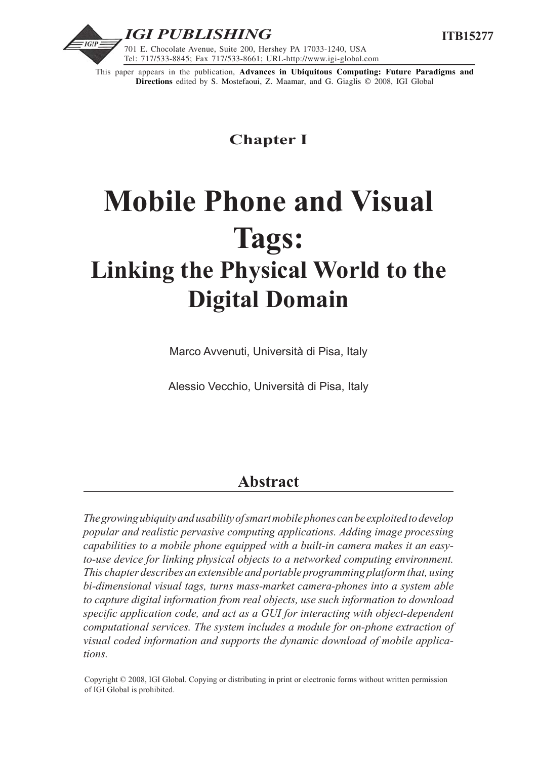

This paper appears in the publication, **Advances in Ubiquitous Computing: Future Paradigms and Directions** edited by S. Mostefaoui, Z. Maamar, and G. Giaglis © 2008, IGI Global

## **Chapter I**

# **Mobile Phone and Visual Tags: Linking the Physical World to the Digital Domain**

Marco Avvenuti, Università di Pisa, Italy

Alessio Vecchio, Università di Pisa, Italy

# **Abstract**

*The growing ubiquity and usability of smart mobile phones can be exploited to develop popular and realistic pervasive computing applications. Adding image processing capabilities to a mobile phone equipped with a built-in camera makes it an easyto-use device for linking physical objects to a networked computing environment. This chapter describes an extensible and portable programming platform that, using bi-dimensional visual tags, turns mass-market camera-phones into a system able to capture digital information from real objects, use such information to download specific application code, and act as a GUI for interacting with object-dependent computational services. The system includes a module for on-phone extraction of visual coded information and supports the dynamic download of mobile applications.*

Copyright © 2008, IGI Global. Copying or distributing in print or electronic forms without written permission of IGI Global is prohibited.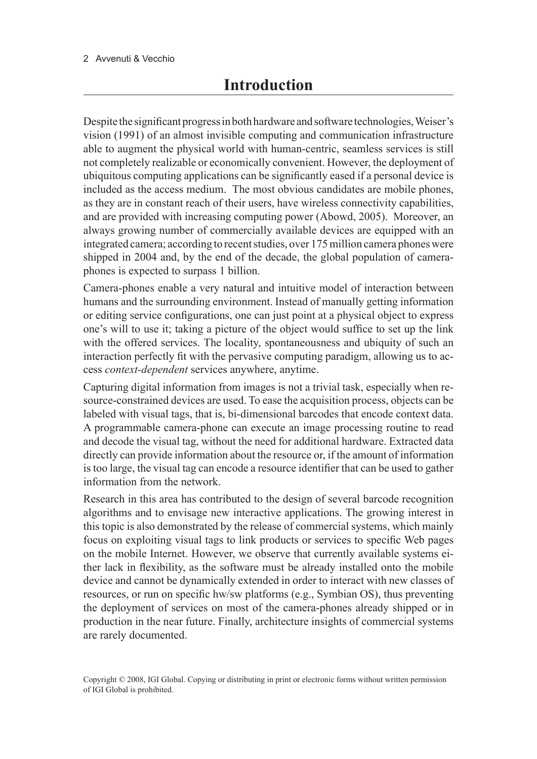#### 2 Avvenuti & Vecchio

Despite the significant progress in both hardware and software technologies, Weiser's vision (1991) of an almost invisible computing and communication infrastructure able to augment the physical world with human-centric, seamless services is still not completely realizable or economically convenient. However, the deployment of ubiquitous computing applications can be significantly eased if a personal device is included as the access medium. The most obvious candidates are mobile phones, as they are in constant reach of their users, have wireless connectivity capabilities, and are provided with increasing computing power (Abowd, 2005). Moreover, an always growing number of commercially available devices are equipped with an integrated camera; according to recent studies, over 175 million camera phones were shipped in 2004 and, by the end of the decade, the global population of cameraphones is expected to surpass 1 billion.

Camera-phones enable a very natural and intuitive model of interaction between humans and the surrounding environment. Instead of manually getting information or editing service configurations, one can just point at a physical object to express one's will to use it; taking a picture of the object would suffice to set up the link with the offered services. The locality, spontaneousness and ubiquity of such an interaction perfectly fit with the pervasive computing paradigm, allowing us to access *context-dependent* services anywhere, anytime.

Capturing digital information from images is not a trivial task, especially when resource-constrained devices are used. To ease the acquisition process, objects can be labeled with visual tags, that is, bi-dimensional barcodes that encode context data. A programmable camera-phone can execute an image processing routine to read and decode the visual tag, without the need for additional hardware. Extracted data directly can provide information about the resource or, if the amount of information is too large, the visual tag can encode a resource identifier that can be used to gather information from the network.

Research in this area has contributed to the design of several barcode recognition algorithms and to envisage new interactive applications. The growing interest in this topic is also demonstrated by the release of commercial systems, which mainly focus on exploiting visual tags to link products or services to specific Web pages on the mobile Internet. However, we observe that currently available systems either lack in flexibility, as the software must be already installed onto the mobile device and cannot be dynamically extended in order to interact with new classes of resources, or run on specific hw/sw platforms (e.g., Symbian OS), thus preventing the deployment of services on most of the camera-phones already shipped or in production in the near future. Finally, architecture insights of commercial systems are rarely documented.